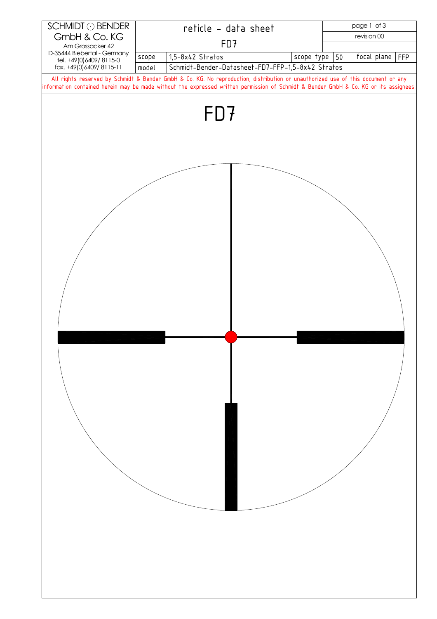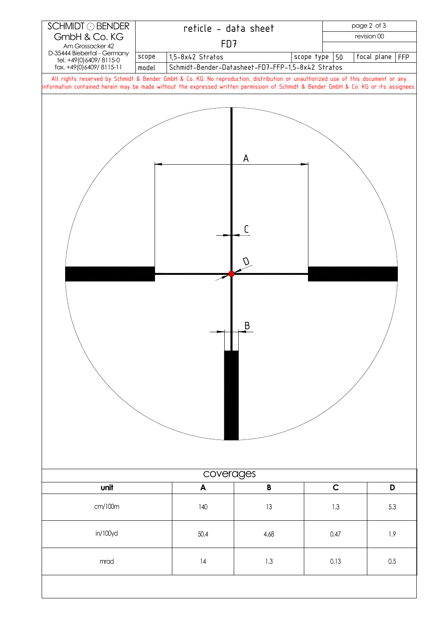